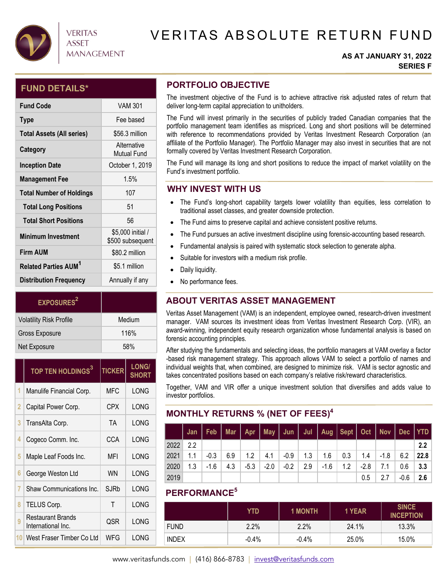

# **VERITAS ASSET MANAGEMENT**

# VERITAS ABSOLUTE RETURN FUND

#### **AS AT JANUARY 31, 2022 SERIES F**

### **FUND DETAILS\***

| <b>Fund Code</b>                       | <b>VAM 301</b>                        |
|----------------------------------------|---------------------------------------|
| <b>Type</b>                            | Fee based                             |
| <b>Total Assets (All series)</b>       | \$56.3 million                        |
| Category                               | Alternative<br><b>Mutual Fund</b>     |
| <b>Inception Date</b>                  | October 1, 2019                       |
| <b>Management Fee</b>                  | 1.5%                                  |
| <b>Total Number of Holdings</b>        | 107                                   |
| <b>Total Long Positions</b>            | 51                                    |
| <b>Total Short Positions</b>           | 56                                    |
| <b>Minimum Investment</b>              | \$5,000 initial /<br>\$500 subsequent |
| <b>Firm AUM</b>                        | \$80.2 million                        |
| <b>Related Parties AUM<sup>1</sup></b> | \$5.1 million                         |
| <b>Distribution Frequency</b>          | Annually if any                       |

| <b>EXPOSURES</b> <sup>2</sup>  |        |
|--------------------------------|--------|
| <b>Volatility Risk Profile</b> | Medium |
| Gross Exposure                 | 116%   |
| Net Exposure                   | 58%    |

|    | TOP TEN HOLDINGS <sup>3</sup>           | <b>TICKER</b> | <b>LONG/</b><br><b>SHORT</b> |  |
|----|-----------------------------------------|---------------|------------------------------|--|
| 1  | Manulife Financial Corp.                | <b>MFC</b>    | LONG                         |  |
| 2  | Capital Power Corp.                     | CPX           | LONG                         |  |
| 3  | TransAlta Corp.                         | <b>TA</b>     | LONG                         |  |
| 4  | Cogeco Comm. Inc.                       | CCA           | LONG                         |  |
| 5  | Maple Leaf Foods Inc.                   | MFI           | LONG                         |  |
| 6  | George Weston Ltd                       | <b>WN</b>     | LONG                         |  |
| 7  | Shaw Communications Inc.                | SJRb          | LONG                         |  |
| 8  | TELUS Corp.                             | T             | LONG                         |  |
| 9  | Restaurant Brands<br>International Inc. | QSR           | LONG                         |  |
| 10 | West Fraser Timber Co Ltd               | WFG           | LONG                         |  |

# **PORTFOLIO OBJECTIVE**

The investment objective of the Fund is to achieve attractive risk adjusted rates of return that deliver long-term capital appreciation to unitholders.

The Fund will invest primarily in the securities of publicly traded Canadian companies that the portfolio management team identifies as mispriced. Long and short positions will be determined with reference to recommendations provided by Veritas Investment Research Corporation (an affiliate of the Portfolio Manager). The Portfolio Manager may also invest in securities that are not formally covered by Veritas Investment Research Corporation.

The Fund will manage its long and short positions to reduce the impact of market volatility on the Fund's investment portfolio.

### **WHY INVEST WITH US**

- The Fund's long-short capability targets lower volatility than equities, less correlation to traditional asset classes, and greater downside protection.
- The Fund aims to preserve capital and achieve consistent positive returns.
- The Fund pursues an active investment discipline using forensic-accounting based research.
- Fundamental analysis is paired with systematic stock selection to generate alpha.
- Suitable for investors with a medium risk profile.
- Daily liquidity.
- No performance fees.

# **ABOUT VERITAS ASSET MANAGEMENT**

Veritas Asset Management (VAM) is an independent, employee owned, research-driven investment manager. VAM sources its investment ideas from Veritas Investment Research Corp. (VIR), an award-winning, independent equity research organization whose fundamental analysis is based on forensic accounting principles.

After studying the fundamentals and selecting ideas, the portfolio managers at VAM overlay a factor -based risk management strategy. This approach allows VAM to select a portfolio of names and individual weights that, when combined, are designed to minimize risk. VAM is sector agnostic and takes concentrated positions based on each company's relative risk/reward characteristics.

Together, VAM and VIR offer a unique investment solution that diversifies and adds value to investor portfolios.

# **MONTHLY RETURNS % (NET OF FEES)4**

|      |     | Jan   Feb   Mar   Apr   May   Jun   Jul   Aug   Sept   Oct   Nov   Dec   YTD |     |                   |      |                    |     |      |                                |      |     |      |      |
|------|-----|------------------------------------------------------------------------------|-----|-------------------|------|--------------------|-----|------|--------------------------------|------|-----|------|------|
| 2022 | 2.2 |                                                                              |     |                   |      |                    |     |      |                                |      |     |      | 2.2  |
| 2021 | 1.1 | $-0.3$                                                                       |     | $6.9$   1.2   4.1 |      | $\vert$ -0.9   1.3 |     |      | $1.6$   0.3   1.4   -1.8   6.2 |      |     |      | 22.8 |
| 2020 | 1.3 | $-1.6$                                                                       | 4.3 | $-5.3$            | -2.0 | $-0.2$             | 2.9 | -1.6 | 1.2                            | -2.8 | 7.1 | 0.6  | -3.3 |
| 2019 |     |                                                                              |     |                   |      |                    |     |      |                                | 0.5  | 2.7 | -0.6 | 2.6  |

# **PERFORMANCE5**

|              | YTD      | <b>1 MONTH</b> | 1 YEAR | <b>SINCE</b><br><b>INCEPTION</b> |
|--------------|----------|----------------|--------|----------------------------------|
| <b>FUND</b>  | 2.2%     | 2.2%           | 24.1%  | 13.3%                            |
| <b>INDEX</b> | $-0.4\%$ | $-0.4%$        | 25.0%  | 15.0%                            |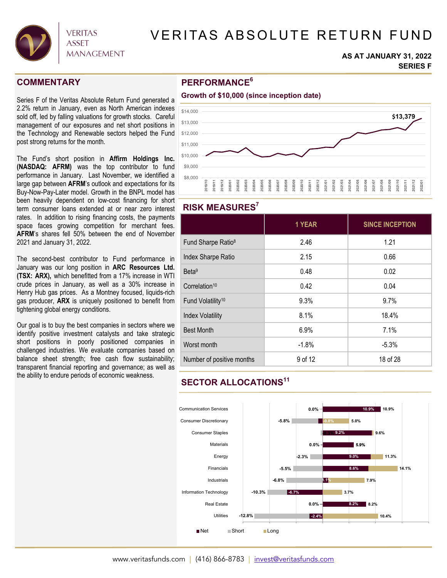

# VERITAS ABSOLUTE RETURN FUND

#### **AS AT JANUARY 31, 2022 SERIES F**

### **COMMENTARY**

Series F of the Veritas Absolute Return Fund generated a 2.2% return in January, even as North American indexes sold off, led by falling valuations for growth stocks. Careful management of our exposures and net short positions in the Technology and Renewable sectors helped the Fund post strong returns for the month.

The Fund's short position in **Affirm Holdings Inc. (NASDAQ: AFRM)** was the top contributor to fund performance in January. Last November, we identified a large gap between **AFRM**'s outlook and expectations for its Buy-Now-Pay-Later model. Growth in the BNPL model has been heavily dependent on low-cost financing for short term consumer loans extended at or near zero interest rates. In addition to rising financing costs, the payments space faces growing competition for merchant fees. **AFRM**'s shares fell 50% between the end of November 2021 and January 31, 2022.

The second-best contributor to Fund performance in January was our long position in **ARC Resources Ltd. (TSX: ARX),** which benefitted from a 17% increase in WTI crude prices in January, as well as a 30% increase in Henry Hub gas prices. As a Montney focused, liquids-rich gas producer, **ARX** is uniquely positioned to benefit from tightening global energy conditions.

Our goal is to buy the best companies in sectors where we identify positive investment catalysts and take strategic short positions in poorly positioned companies in challenged industries. We evaluate companies based on balance sheet strength; free cash flow sustainability; transparent financial reporting and governance; as well as the ability to endure periods of economic weakness.

### **PERFORMANCE6**



### **RISK MEASURES7**

|                                | 1 YEAR  | <b>SINCE INCEPTION</b> |
|--------------------------------|---------|------------------------|
| Fund Sharpe Ratio <sup>8</sup> | 2.46    | 1.21                   |
| Index Sharpe Ratio             | 2.15    | 0.66                   |
| Beta <sup>9</sup>              | 0.48    | 0.02                   |
| Correlation <sup>10</sup>      | 0.42    | 0.04                   |
| Fund Volatility <sup>10</sup>  | 9.3%    | 9.7%                   |
| <b>Index Volatility</b>        | 8.1%    | 18.4%                  |
| <b>Best Month</b>              | 6.9%    | 7.1%                   |
| Worst month                    | $-1.8%$ | $-5.3%$                |
| Number of positive months      | 9 of 12 | 18 of 28               |

# **SECTOR ALLOCATIONS11**